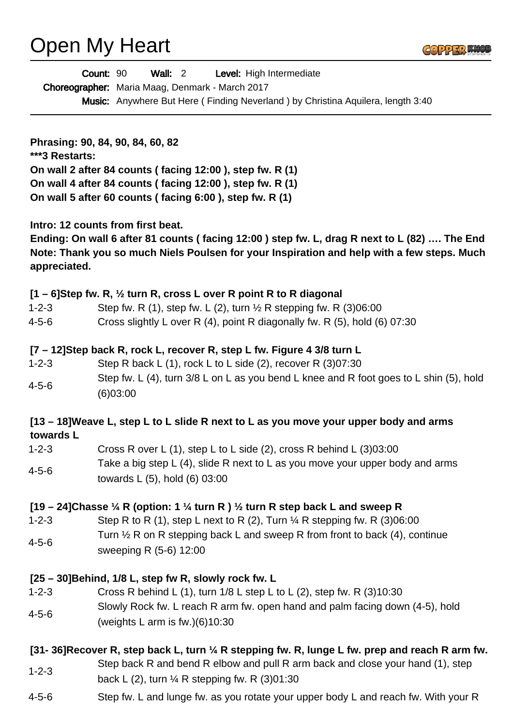# Open My Heart

|--|--|

|                            | Count: 90<br>Level: High Intermediate<br>Wall: $2$<br>Choreographer: Maria Maag, Denmark - March 2017<br>Music: Anywhere But Here (Finding Neverland) by Christina Aquilera, length 3:40                                                             |
|----------------------------|------------------------------------------------------------------------------------------------------------------------------------------------------------------------------------------------------------------------------------------------------|
| ***3 Restarts:             | Phrasing: 90, 84, 90, 84, 60, 82<br>On wall 2 after 84 counts (facing 12:00), step fw. R (1)<br>On wall 4 after 84 counts (facing 12:00), step fw. R (1)<br>On wall 5 after 60 counts (facing 6:00), step fw. R (1)                                  |
| appreciated.               | Intro: 12 counts from first beat.<br>Ending: On wall 6 after 81 counts (facing 12:00) step fw. L, drag R next to L (82)  The End<br>Note: Thank you so much Niels Poulsen for your Inspiration and help with a few steps. Much                       |
| $1 - 2 - 3$<br>$4 - 5 - 6$ | [1 - 6]Step fw. R, 1/2 turn R, cross L over R point R to R diagonal<br>Step fw. R (1), step fw. L (2), turn $\frac{1}{2}$ R stepping fw. R (3)06:00<br>Cross slightly L over R (4), point R diagonally fw. R (5), hold (6) 07:30                     |
| $1 - 2 - 3$<br>$4 - 5 - 6$ | [7 – 12] Step back R, rock L, recover R, step L fw. Figure 4 3/8 turn L<br>Step R back L $(1)$ , rock L to L side $(2)$ , recover R $(3)07:30$<br>Step fw. L (4), turn 3/8 L on L as you bend L knee and R foot goes to L shin (5), hold<br>(6)03:00 |
| towards L                  | [13 – 18] Weave L, step L to L slide R next to L as you move your upper body and arms                                                                                                                                                                |
| $1 - 2 - 3$                | Cross R over L $(1)$ , step L to L side $(2)$ , cross R behind L $(3)03:00$                                                                                                                                                                          |
| $4 - 5 - 6$                | Take a big step L (4), slide R next to L as you move your upper body and arms<br>towards L (5), hold (6) 03:00                                                                                                                                       |
|                            | [19 – 24] Chasse $\frac{1}{4}$ R (option: 1 $\frac{1}{4}$ turn R ) $\frac{1}{2}$ turn R step back L and sweep R                                                                                                                                      |
| $1 - 2 - 3$                | Step R to R (1), step L next to R (2), Turn $\frac{1}{4}$ R stepping fw. R (3)06:00                                                                                                                                                                  |
| $4 - 5 - 6$                | Turn $\frac{1}{2}$ R on R stepping back L and sweep R from front to back (4), continue<br>sweeping R (5-6) 12:00                                                                                                                                     |
|                            | [25 – 30] Behind, 1/8 L, step fw R, slowly rock fw. L                                                                                                                                                                                                |
| $1 - 2 - 3$                | Cross R behind L $(1)$ , turn $1/8$ L step L to L $(2)$ , step fw. R $(3)10:30$                                                                                                                                                                      |
| $4 - 5 - 6$                | Slowly Rock fw. L reach R arm fw. open hand and palm facing down (4-5), hold<br>(weights L arm is $fw.(6)10:30$                                                                                                                                      |
|                            | [31-36] Recover R, step back L, turn $\frac{1}{4}$ R stepping fw. R, lunge L fw. prep and reach R arm fw.                                                                                                                                            |
| $1 - 2 - 3$                | Step back R and bend R elbow and pull R arm back and close your hand (1), step<br>back L (2), turn $\frac{1}{4}$ R stepping fw. R (3)01:30                                                                                                           |
| $4 - 5 - 6$                | Step fw. L and lunge fw. as you rotate your upper body L and reach fw. With your R                                                                                                                                                                   |